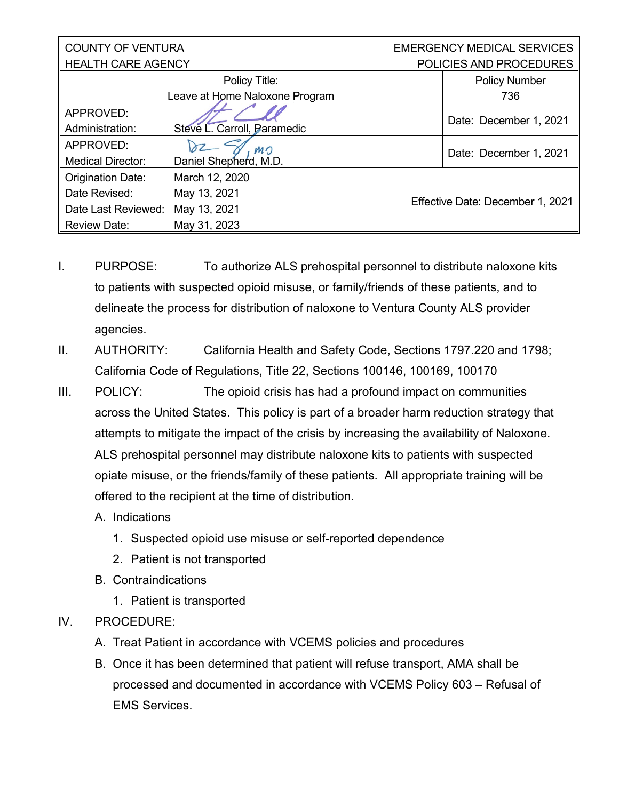| <b>COUNTY OF VENTURA</b>       |                             |  | <b>EMERGENCY MEDICAL SERVICES</b> |  |
|--------------------------------|-----------------------------|--|-----------------------------------|--|
| <b>HEALTH CARE AGENCY</b>      |                             |  | POLICIES AND PROCEDURES           |  |
|                                | Policy Title:               |  | <b>Policy Number</b>              |  |
| Leave at Home Naloxone Program |                             |  | 736                               |  |
| APPROVED:                      |                             |  | Date: December 1, 2021            |  |
| Administration:                | Steve L. Carroll, Paramedic |  |                                   |  |
| APPROVED:                      | MO                          |  | Date: December 1, 2021            |  |
| <b>Medical Director:</b>       | Daniel Shepherd, M.D.       |  |                                   |  |
| Origination Date:              | March 12, 2020              |  |                                   |  |
| Date Revised:                  | May 13, 2021                |  | Effective Date: December 1, 2021  |  |
| Date Last Reviewed:            | May 13, 2021                |  |                                   |  |
| <b>Review Date:</b>            | May 31, 2023                |  |                                   |  |

- I. PURPOSE: To authorize ALS prehospital personnel to distribute naloxone kits to patients with suspected opioid misuse, or family/friends of these patients, and to delineate the process for distribution of naloxone to Ventura County ALS provider agencies.
- II. AUTHORITY: California Health and Safety Code, Sections 1797.220 and 1798; California Code of Regulations, Title 22, Sections 100146, 100169, 100170
- III. POLICY: The opioid crisis has had a profound impact on communities across the United States. This policy is part of a broader harm reduction strategy that attempts to mitigate the impact of the crisis by increasing the availability of Naloxone. ALS prehospital personnel may distribute naloxone kits to patients with suspected opiate misuse, or the friends/family of these patients. All appropriate training will be offered to the recipient at the time of distribution.
	- A. Indications
		- 1. Suspected opioid use misuse or self-reported dependence
		- 2. Patient is not transported
	- B. Contraindications
		- 1. Patient is transported
- IV. PROCEDURE:
	- A. Treat Patient in accordance with VCEMS policies and procedures
	- B. Once it has been determined that patient will refuse transport, AMA shall be processed and documented in accordance with VCEMS Policy 603 – Refusal of EMS Services.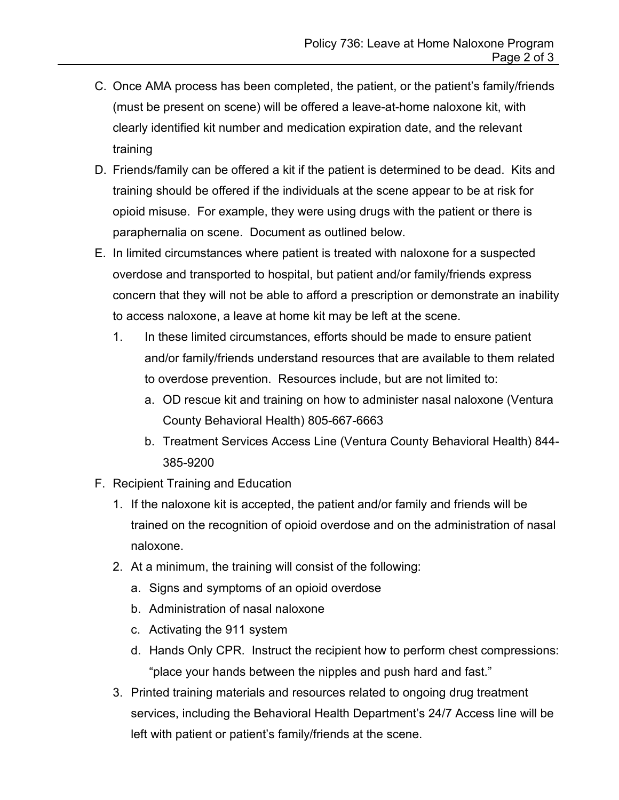- C. Once AMA process has been completed, the patient, or the patient's family/friends (must be present on scene) will be offered a leave-at-home naloxone kit, with clearly identified kit number and medication expiration date, and the relevant training
- D. Friends/family can be offered a kit if the patient is determined to be dead. Kits and training should be offered if the individuals at the scene appear to be at risk for opioid misuse. For example, they were using drugs with the patient or there is paraphernalia on scene. Document as outlined below.
- E. In limited circumstances where patient is treated with naloxone for a suspected overdose and transported to hospital, but patient and/or family/friends express concern that they will not be able to afford a prescription or demonstrate an inability to access naloxone, a leave at home kit may be left at the scene.
	- 1. In these limited circumstances, efforts should be made to ensure patient and/or family/friends understand resources that are available to them related to overdose prevention. Resources include, but are not limited to:
		- a. OD rescue kit and training on how to administer nasal naloxone (Ventura County Behavioral Health) 805-667-6663
		- b. Treatment Services Access Line (Ventura County Behavioral Health) 844- 385-9200
- F. Recipient Training and Education
	- 1. If the naloxone kit is accepted, the patient and/or family and friends will be trained on the recognition of opioid overdose and on the administration of nasal naloxone.
	- 2. At a minimum, the training will consist of the following:
		- a. Signs and symptoms of an opioid overdose
		- b. Administration of nasal naloxone
		- c. Activating the 911 system
		- d. Hands Only CPR. Instruct the recipient how to perform chest compressions: "place your hands between the nipples and push hard and fast."
	- 3. Printed training materials and resources related to ongoing drug treatment services, including the Behavioral Health Department's 24/7 Access line will be left with patient or patient's family/friends at the scene.